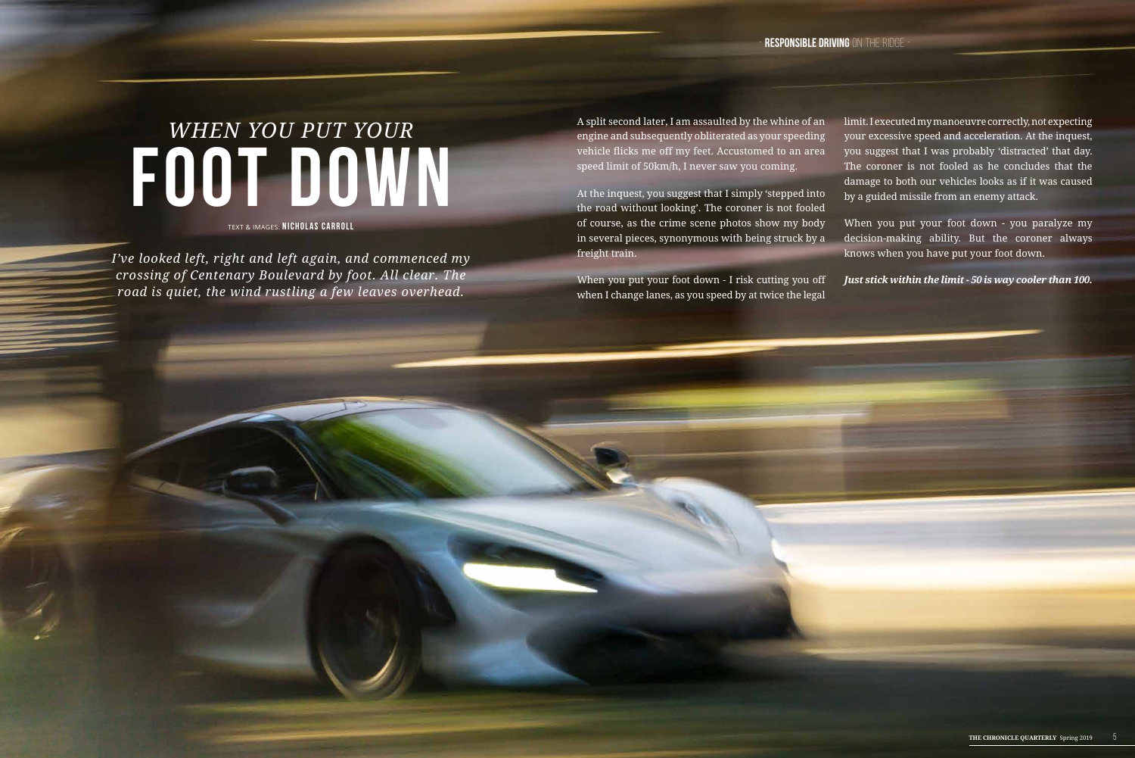## *when you put your*  **foot down**

TEXT & IMAGES: **NICHOLAS CARROLL**

*I've looked left, right and left again, and commenced my crossing of Centenary Boulevard by foot. All clear. The road is quiet, the wind rustling a few leaves overhead.*

limit. I executed my manoeuvre correctly, not expecting your excessive speed and acceleration. At the inquest, you suggest that I was probably 'distracted' that day. The coroner is not fooled as he concludes that the damage to both our vehicles looks as if it was caused by a guided missile from an enemy attack.

When you put your foot down - you paralyze my decision-making ability. But the coroner always knows when you have put your foot down.

*Just stick within the limit - 50 is way cooler than 100.*

A split second later, I am assaulted by the whine of an engine and subsequently obliterated as your speeding vehicle flicks me off my feet. Accustomed to an area speed limit of 50km/h, I never saw you coming.

At the inquest, you suggest that I simply 'stepped into the road without looking'. The coroner is not fooled of course, as the crime scene photos show my body in several pieces, synonymous with being struck by a freight train.

When you put your foot down - I risk cutting you off when I change lanes, as you speed by at twice the legal

**RESPONSIBLE DRIVING** ON THE RIDGE -